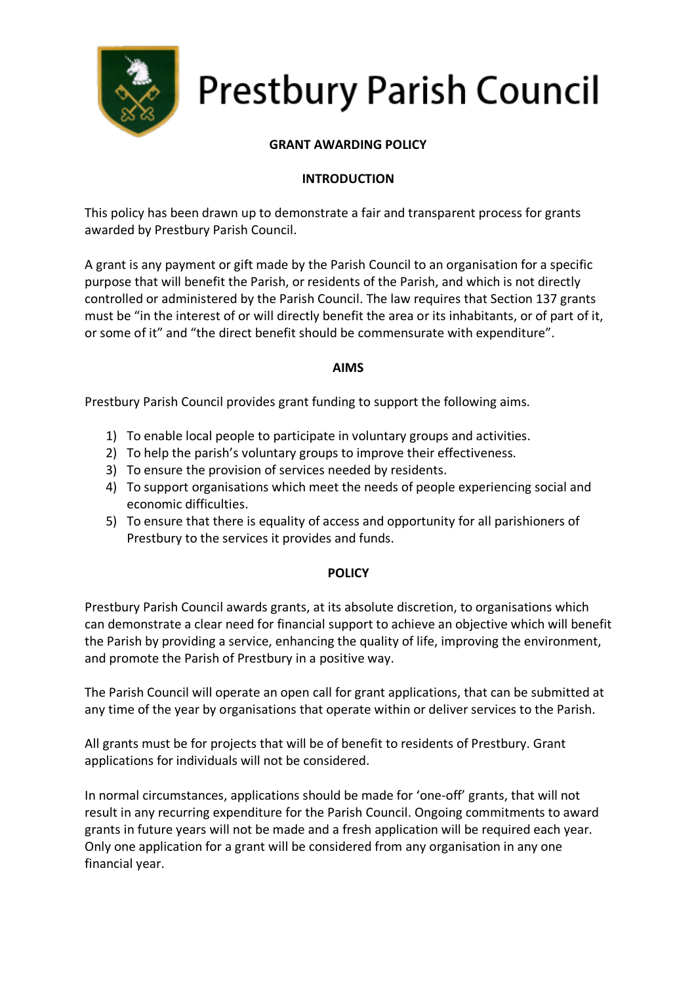

# **Prestbury Parish Council**

# **GRANT AWARDING POLICY**

# **INTRODUCTION**

This policy has been drawn up to demonstrate a fair and transparent process for grants awarded by Prestbury Parish Council.

A grant is any payment or gift made by the Parish Council to an organisation for a specific purpose that will benefit the Parish, or residents of the Parish, and which is not directly controlled or administered by the Parish Council. The law requires that Section 137 grants must be "in the interest of or will directly benefit the area or its inhabitants, or of part of it, or some of it" and "the direct benefit should be commensurate with expenditure".

### **AIMS**

Prestbury Parish Council provides grant funding to support the following aims.

- 1) To enable local people to participate in voluntary groups and activities.
- 2) To help the parish's voluntary groups to improve their effectiveness.
- 3) To ensure the provision of services needed by residents.
- 4) To support organisations which meet the needs of people experiencing social and economic difficulties.
- 5) To ensure that there is equality of access and opportunity for all parishioners of Prestbury to the services it provides and funds.

## **POLICY**

Prestbury Parish Council awards grants, at its absolute discretion, to organisations which can demonstrate a clear need for financial support to achieve an objective which will benefit the Parish by providing a service, enhancing the quality of life, improving the environment, and promote the Parish of Prestbury in a positive way.

The Parish Council will operate an open call for grant applications, that can be submitted at any time of the year by organisations that operate within or deliver services to the Parish.

All grants must be for projects that will be of benefit to residents of Prestbury. Grant applications for individuals will not be considered.

In normal circumstances, applications should be made for 'one-off' grants, that will not result in any recurring expenditure for the Parish Council. Ongoing commitments to award grants in future years will not be made and a fresh application will be required each year. Only one application for a grant will be considered from any organisation in any one financial year.